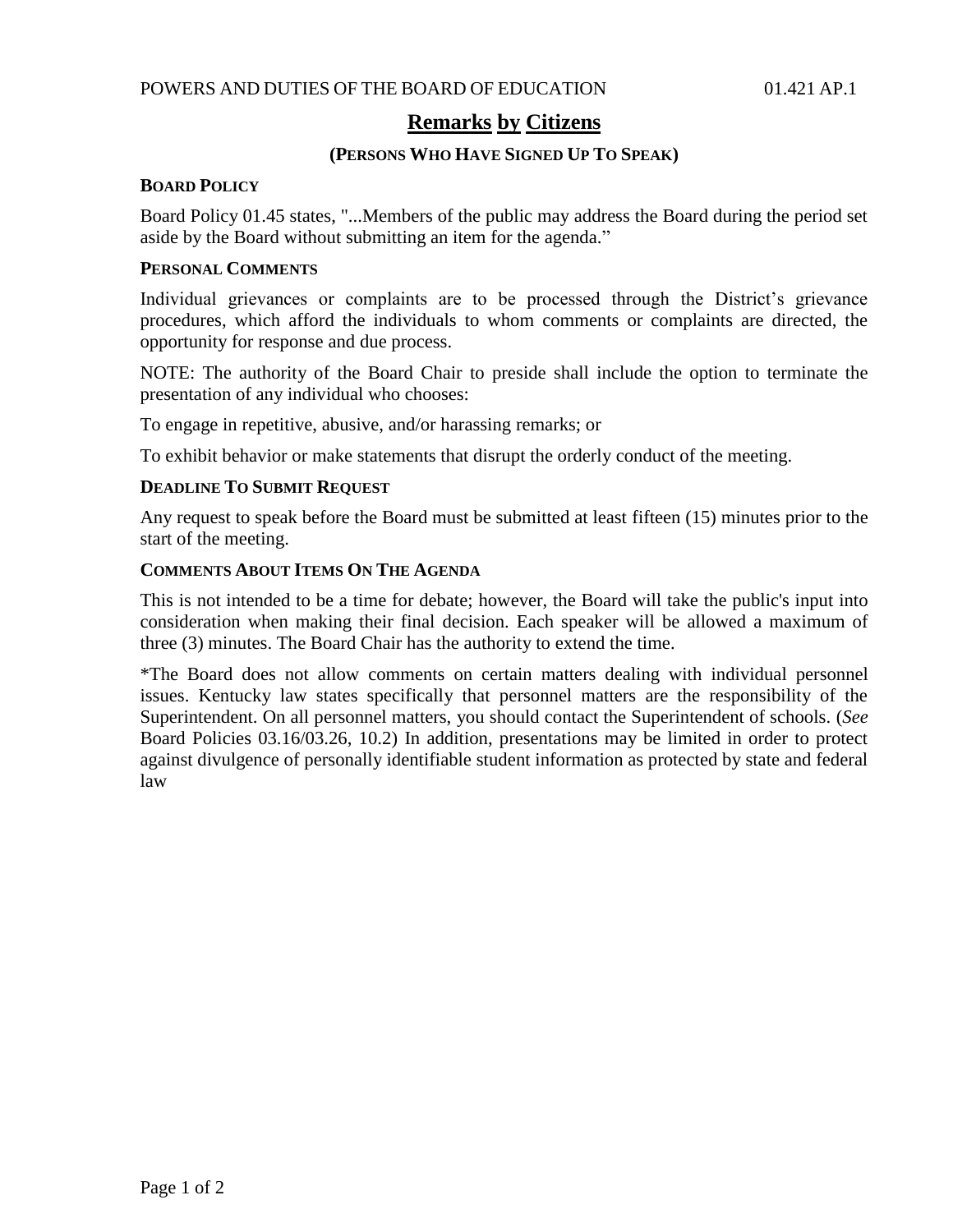# **Remarks by Citizens**

## **(PERSONS WHO HAVE SIGNED UP TO SPEAK)**

#### **BOARD POLICY**

Board Policy 01.45 states, "...Members of the public may address the Board during the period set aside by the Board without submitting an item for the agenda."

## **PERSONAL COMMENTS**

Individual grievances or complaints are to be processed through the District's grievance procedures, which afford the individuals to whom comments or complaints are directed, the opportunity for response and due process.

NOTE: The authority of the Board Chair to preside shall include the option to terminate the presentation of any individual who chooses:

To engage in repetitive, abusive, and/or harassing remarks; or

To exhibit behavior or make statements that disrupt the orderly conduct of the meeting.

### **DEADLINE TO SUBMIT REQUEST**

Any request to speak before the Board must be submitted at least fifteen (15) minutes prior to the start of the meeting.

### **COMMENTS ABOUT ITEMS ON THE AGENDA**

This is not intended to be a time for debate; however, the Board will take the public's input into consideration when making their final decision. Each speaker will be allowed a maximum of three (3) minutes. The Board Chair has the authority to extend the time.

\*The Board does not allow comments on certain matters dealing with individual personnel issues. Kentucky law states specifically that personnel matters are the responsibility of the Superintendent. On all personnel matters, you should contact the Superintendent of schools. (*See* Board Policies 03.16/03.26, 10.2) In addition, presentations may be limited in order to protect against divulgence of personally identifiable student information as protected by state and federal law